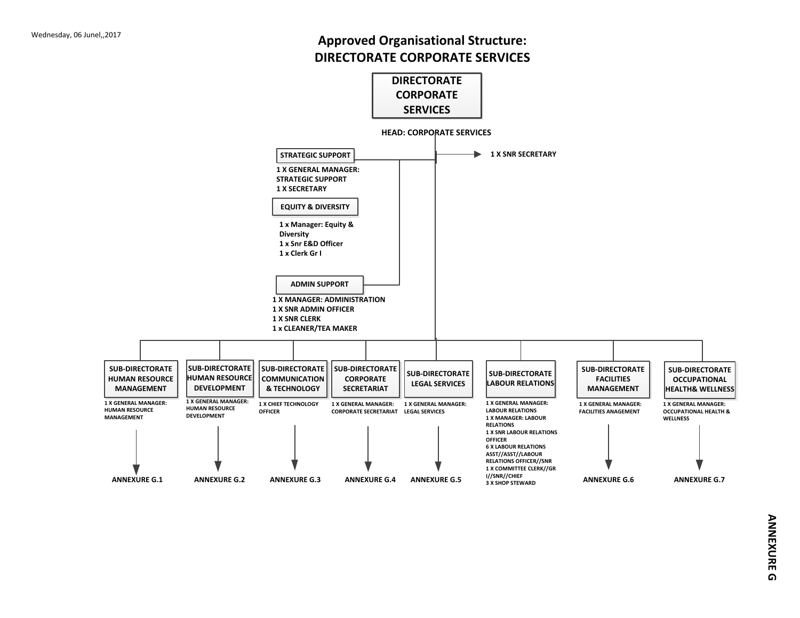### **Approved Organisational Structure: DIRECTORATE CORPORATE SERVICES**

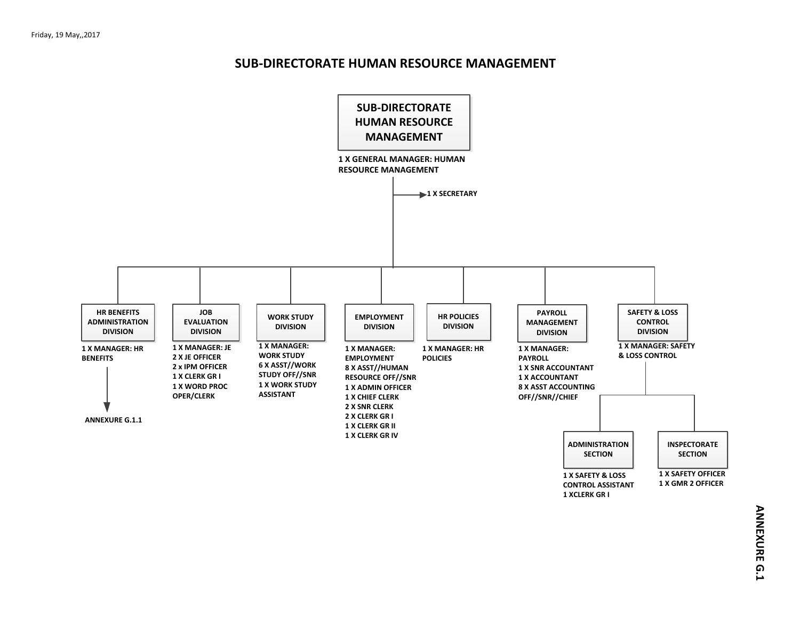#### **SUB-DIRECTORATE HUMAN RESOURCE MANAGEMENT**

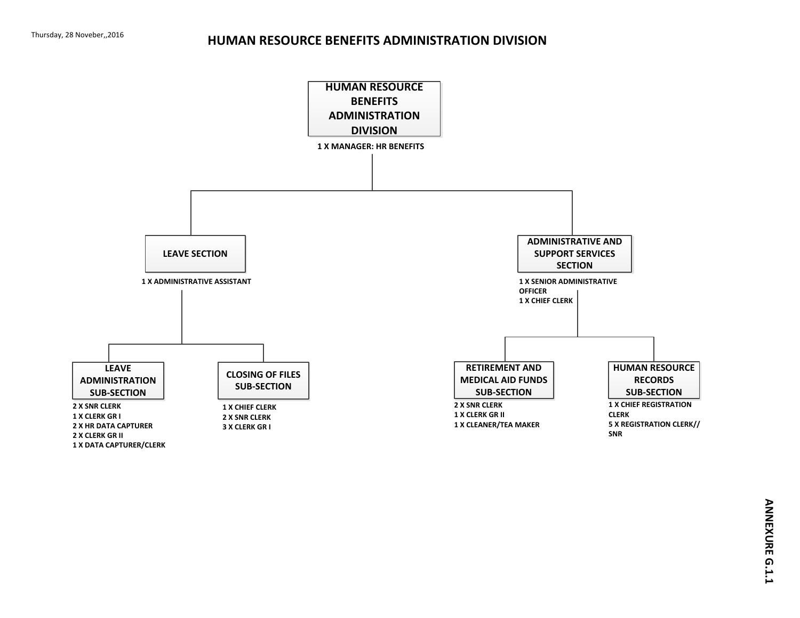#### **HUMAN RESOURCE BENEFITS ADMINISTRATION DIVISION**

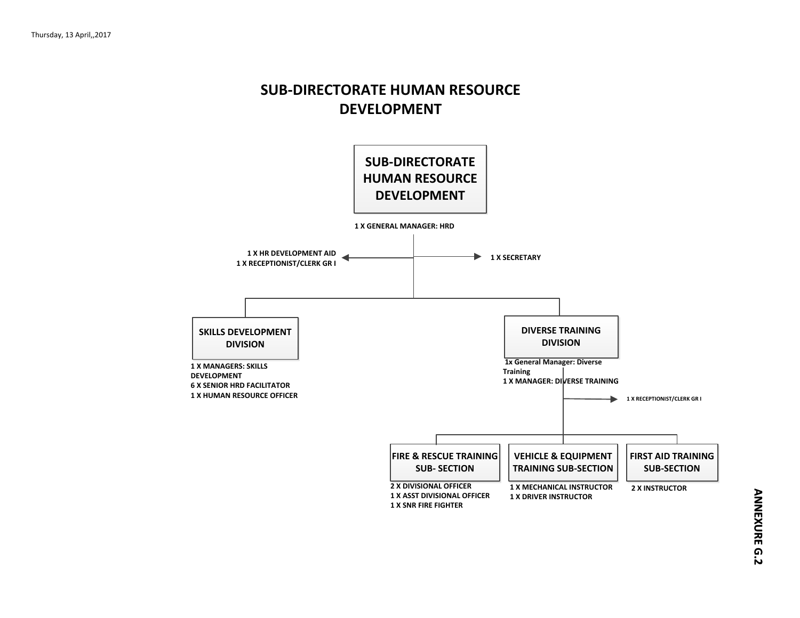# **SUB-DIRECTORATE HUMAN RESOURCE DEVELOPMENT**

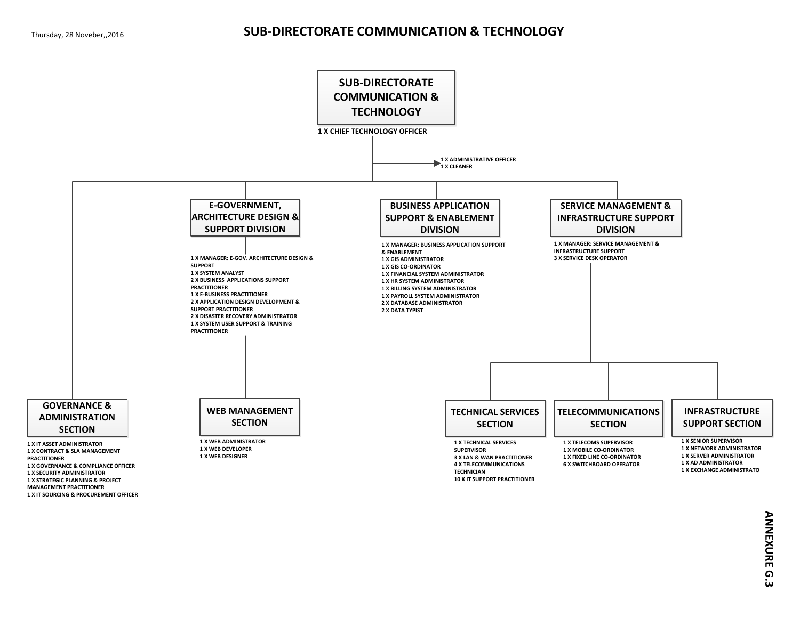#### **SUB-DIRECTORATE COMMUNICATION & TECHNOLOGY**

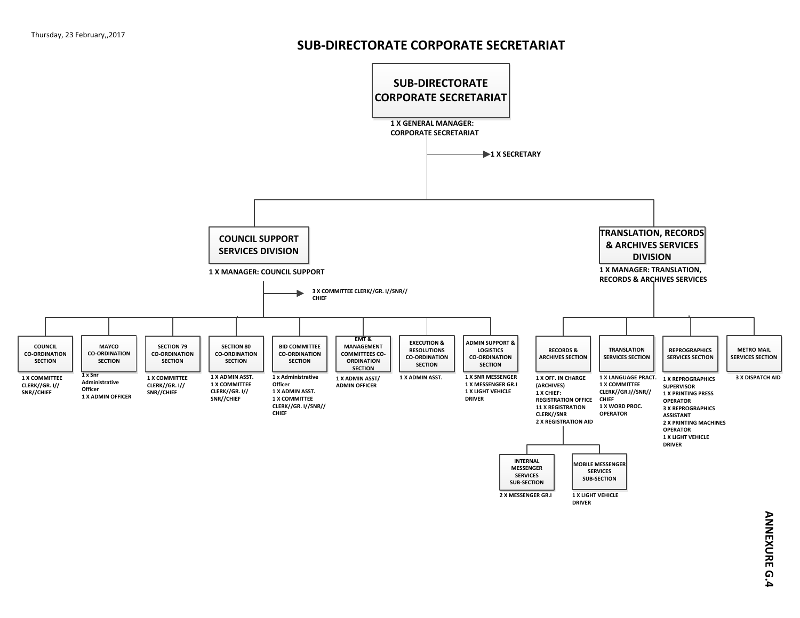#### **SUB-DIRECTORATE CORPORATE SECRETARIAT**

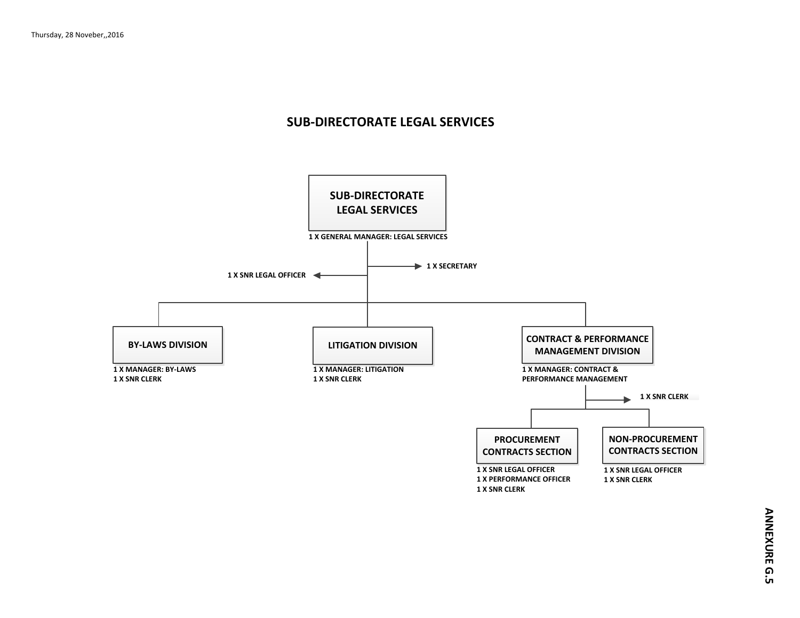#### **SUB-DIRECTORATE LEGAL SERVICES**

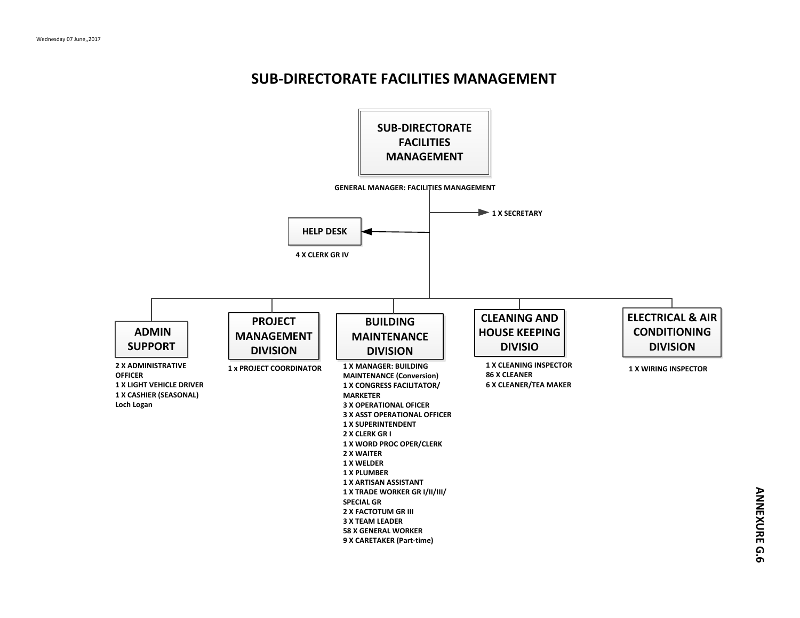# Wednesday 07 June,,2017<br>SUB-DIRECTORATE FACILITIES MANAGEMENT